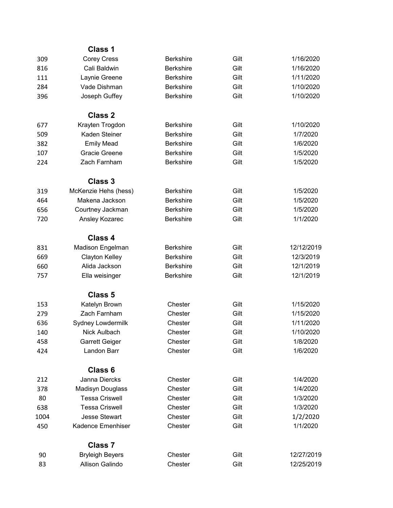|      | <b>Class 1</b>         |                  |      |            |
|------|------------------------|------------------|------|------------|
| 309  | <b>Corey Cress</b>     | <b>Berkshire</b> | Gilt | 1/16/2020  |
| 816  | Cali Baldwin           | <b>Berkshire</b> | Gilt | 1/16/2020  |
| 111  | Laynie Greene          | <b>Berkshire</b> | Gilt | 1/11/2020  |
| 284  | Vade Dishman           | <b>Berkshire</b> | Gilt | 1/10/2020  |
| 396  | Joseph Guffey          | <b>Berkshire</b> | Gilt | 1/10/2020  |
|      | <b>Class 2</b>         |                  |      |            |
| 677  | Krayten Trogdon        | <b>Berkshire</b> | Gilt | 1/10/2020  |
| 509  | Kaden Steiner          | <b>Berkshire</b> | Gilt | 1/7/2020   |
| 382  | <b>Emily Mead</b>      | <b>Berkshire</b> | Gilt | 1/6/2020   |
| 107  | Gracie Greene          | <b>Berkshire</b> | Gilt | 1/5/2020   |
| 224  | Zach Farnham           | <b>Berkshire</b> | Gilt | 1/5/2020   |
|      | <b>Class 3</b>         |                  |      |            |
| 319  | McKenzie Hehs (hess)   | <b>Berkshire</b> | Gilt | 1/5/2020   |
| 464  | Makena Jackson         | <b>Berkshire</b> | Gilt | 1/5/2020   |
| 656  | Courtney Jackman       | <b>Berkshire</b> | Gilt | 1/5/2020   |
| 720  | Ansley Kozarec         | <b>Berkshire</b> | Gilt | 1/1/2020   |
|      | Class 4                |                  |      |            |
| 831  | Madison Engelman       | <b>Berkshire</b> | Gilt | 12/12/2019 |
| 669  | <b>Clayton Kelley</b>  | <b>Berkshire</b> | Gilt | 12/3/2019  |
| 660  | Alida Jackson          | <b>Berkshire</b> | Gilt | 12/1/2019  |
| 757  | Ella weisinger         | <b>Berkshire</b> | Gilt | 12/1/2019  |
|      | <b>Class 5</b>         |                  |      |            |
| 153  | Katelyn Brown          | Chester          | Gilt | 1/15/2020  |
| 279  | Zach Farnham           | Chester          | Gilt | 1/15/2020  |
| 636  | Sydney Lowdermilk      | Chester          | Gilt | 1/11/2020  |
| 140  | Nick Aulbach           | Chester          | Gilt | 1/10/2020  |
| 458  | <b>Garrett Geiger</b>  | Chester          | Gilt | 1/8/2020   |
| 424  | Landon Barr            | Chester          | Gilt | 1/6/2020   |
|      | Class <sub>6</sub>     |                  |      |            |
| 212  | Janna Diercks          | Chester          | Gilt | 1/4/2020   |
| 378  | Madisyn Douglass       | Chester          | Gilt | 1/4/2020   |
| 80   | <b>Tessa Criswell</b>  | Chester          | Gilt | 1/3/2020   |
| 638  | <b>Tessa Criswell</b>  | Chester          | Gilt | 1/3/2020   |
| 1004 | <b>Jesse Stewart</b>   | Chester          | Gilt | 1/2/2020   |
| 450  | Kadence Emenhiser      | Chester          | Gilt | 1/1/2020   |
|      | <b>Class 7</b>         |                  |      |            |
| 90   | <b>Bryleigh Beyers</b> | Chester          | Gilt | 12/27/2019 |
| 83   | Allison Galindo        | Chester          | Gilt | 12/25/2019 |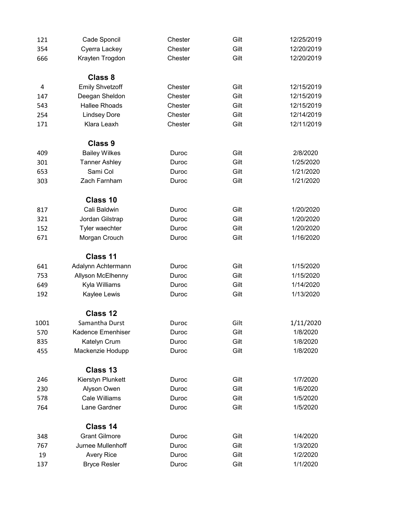| 121  | Cade Sponcil           | Chester | Gilt | 12/25/2019 |
|------|------------------------|---------|------|------------|
| 354  | Cyerra Lackey          | Chester | Gilt | 12/20/2019 |
| 666  | Krayten Trogdon        | Chester | Gilt | 12/20/2019 |
|      | Class 8                |         |      |            |
| 4    | <b>Emily Shvetzoff</b> | Chester | Gilt | 12/15/2019 |
| 147  | Deegan Sheldon         | Chester | Gilt | 12/15/2019 |
| 543  | <b>Hallee Rhoads</b>   | Chester | Gilt | 12/15/2019 |
| 254  | <b>Lindsey Dore</b>    | Chester | Gilt | 12/14/2019 |
| 171  | Klara Leaxh            | Chester | Gilt | 12/11/2019 |
|      | <b>Class 9</b>         |         |      |            |
| 409  | <b>Bailey Wilkes</b>   | Duroc   | Gilt | 2/8/2020   |
| 301  | <b>Tanner Ashley</b>   | Duroc   | Gilt | 1/25/2020  |
| 653  | Sami Col               | Duroc   | Gilt | 1/21/2020  |
| 303  | Zach Farnham           | Duroc   | Gilt | 1/21/2020  |
|      | Class 10               |         |      |            |
| 817  | Cali Baldwin           | Duroc   | Gilt | 1/20/2020  |
| 321  | Jordan Gilstrap        | Duroc   | Gilt | 1/20/2020  |
| 152  | Tyler waechter         | Duroc   | Gilt | 1/20/2020  |
| 671  | Morgan Crouch          | Duroc   | Gilt | 1/16/2020  |
|      | Class 11               |         |      |            |
| 641  | Adalynn Achtermann     | Duroc   | Gilt | 1/15/2020  |
| 753  | Allyson McElhenny      | Duroc   | Gilt | 1/15/2020  |
| 649  | Kyla Williams          | Duroc   | Gilt | 1/14/2020  |
| 192  | Kaylee Lewis           | Duroc   | Gilt | 1/13/2020  |
|      | Class 12               |         |      |            |
| 1001 | Samantha Durst         | Duroc   | Gilt | 1/11/2020  |
| 570  | Kadence Emenhiser      | Duroc   | Gilt | 1/8/2020   |
| 835  | Katelyn Crum           | Duroc   | Gilt | 1/8/2020   |
| 455  | Mackenzie Hodupp       | Duroc   | Gilt | 1/8/2020   |
|      | Class 13               |         |      |            |
| 246  | Kierstyn Plunkett      | Duroc   | Gilt | 1/7/2020   |
| 230  | Alyson Owen            | Duroc   | Gilt | 1/6/2020   |
| 578  | <b>Cale Williams</b>   | Duroc   | Gilt | 1/5/2020   |
| 764  | Lane Gardner           | Duroc   | Gilt | 1/5/2020   |
|      | Class 14               |         |      |            |
| 348  | <b>Grant Gilmore</b>   | Duroc   | Gilt | 1/4/2020   |
| 767  | Jurnee Mullenhoff      | Duroc   | Gilt | 1/3/2020   |
| 19   | <b>Avery Rice</b>      | Duroc   | Gilt | 1/2/2020   |
| 137  | <b>Bryce Resler</b>    | Duroc   | Gilt | 1/1/2020   |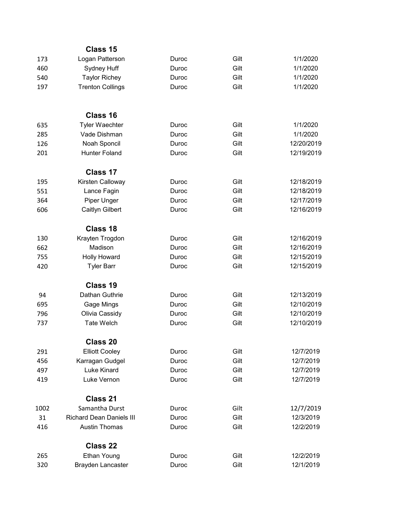|      | Class 15                        |       |      |            |
|------|---------------------------------|-------|------|------------|
| 173  | Logan Patterson                 | Duroc | Gilt | 1/1/2020   |
| 460  | Sydney Huff                     | Duroc | Gilt | 1/1/2020   |
| 540  | <b>Taylor Richey</b>            | Duroc | Gilt | 1/1/2020   |
| 197  | <b>Trenton Collings</b>         | Duroc | Gilt | 1/1/2020   |
|      | Class 16                        |       |      |            |
| 635  | <b>Tyler Waechter</b>           | Duroc | Gilt | 1/1/2020   |
| 285  | Vade Dishman                    | Duroc | Gilt | 1/1/2020   |
| 126  | Noah Sponcil                    | Duroc | Gilt | 12/20/2019 |
| 201  | <b>Hunter Foland</b>            | Duroc | Gilt | 12/19/2019 |
|      | Class 17                        |       |      |            |
| 195  | Kirsten Calloway                | Duroc | Gilt | 12/18/2019 |
| 551  | Lance Fagin                     | Duroc | Gilt | 12/18/2019 |
| 364  | Piper Unger                     | Duroc | Gilt | 12/17/2019 |
| 606  | Caitlyn Gilbert                 | Duroc | Gilt | 12/16/2019 |
|      | Class 18                        |       |      |            |
| 130  | Krayten Trogdon                 | Duroc | Gilt | 12/16/2019 |
| 662  | Madison                         | Duroc | Gilt | 12/16/2019 |
| 755  | <b>Holly Howard</b>             | Duroc | Gilt | 12/15/2019 |
| 420  | <b>Tyler Barr</b>               | Duroc | Gilt | 12/15/2019 |
|      | Class 19                        |       |      |            |
| 94   | Dathan Guthrie                  | Duroc | Gilt | 12/13/2019 |
| 695  | Gage Mings                      | Duroc | Gilt | 12/10/2019 |
| 796  | Olivia Cassidy                  | Duroc | Gilt | 12/10/2019 |
| 737  | <b>Tate Welch</b>               | Duroc | Gilt | 12/10/2019 |
|      | Class 20                        |       |      |            |
| 291  | <b>Elliott Cooley</b>           | Duroc | Gilt | 12/7/2019  |
| 456  | Karragan Gudgel                 | Duroc | Gilt | 12/7/2019  |
| 497  | Luke Kinard                     | Duroc | Gilt | 12/7/2019  |
| 419  | Luke Vernon                     | Duroc | Gilt | 12/7/2019  |
|      | <b>Class 21</b>                 |       |      |            |
| 1002 | Samantha Durst                  | Duroc | Gilt | 12/7/2019  |
| 31   | <b>Richard Dean Daniels III</b> | Duroc | Gilt | 12/3/2019  |
| 416  | <b>Austin Thomas</b>            | Duroc | Gilt | 12/2/2019  |
|      | <b>Class 22</b>                 |       |      |            |
| 265  | Ethan Young                     | Duroc | Gilt | 12/2/2019  |
| 320  | Brayden Lancaster               | Duroc | Gilt | 12/1/2019  |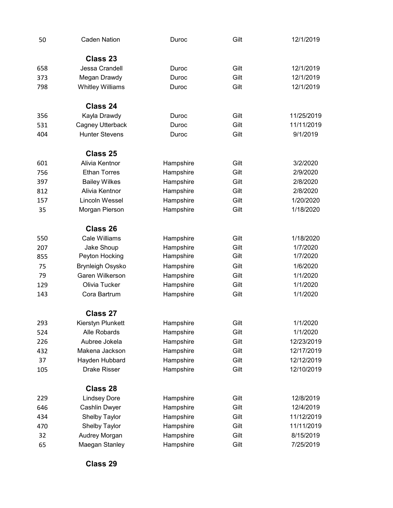| 50  | <b>Caden Nation</b>     | Duroc     | Gilt | 12/1/2019  |
|-----|-------------------------|-----------|------|------------|
|     | Class 23                |           |      |            |
| 658 | Jessa Crandell          | Duroc     | Gilt | 12/1/2019  |
| 373 | Megan Drawdy            | Duroc     | Gilt | 12/1/2019  |
| 798 | <b>Whitley Williams</b> | Duroc     | Gilt | 12/1/2019  |
|     | Class 24                |           |      |            |
| 356 | Kayla Drawdy            | Duroc     | Gilt | 11/25/2019 |
| 531 | Cagney Utterback        | Duroc     | Gilt | 11/11/2019 |
| 404 | <b>Hunter Stevens</b>   | Duroc     | Gilt | 9/1/2019   |
|     | Class 25                |           |      |            |
| 601 | Alivia Kentnor          | Hampshire | Gilt | 3/2/2020   |
| 756 | <b>Ethan Torres</b>     | Hampshire | Gilt | 2/9/2020   |
| 397 | <b>Bailey Wilkes</b>    | Hampshire | Gilt | 2/8/2020   |
| 812 | Alivia Kentnor          | Hampshire | Gilt | 2/8/2020   |
| 157 | Lincoln Wessel          | Hampshire | Gilt | 1/20/2020  |
| 35  | Morgan Pierson          | Hampshire | Gilt | 1/18/2020  |
|     | Class 26                |           |      |            |
| 550 | <b>Cale Williams</b>    | Hampshire | Gilt | 1/18/2020  |
| 207 | Jake Shoup              | Hampshire | Gilt | 1/7/2020   |
| 855 | Peyton Hocking          | Hampshire | Gilt | 1/7/2020   |
| 75  | <b>Brynleigh Osysko</b> | Hampshire | Gilt | 1/6/2020   |
| 79  | Garen Wilkerson         | Hampshire | Gilt | 1/1/2020   |
| 129 | Olivia Tucker           | Hampshire | Gilt | 1/1/2020   |
| 143 | Cora Bartrum            | Hampshire | Gilt | 1/1/2020   |
|     | Class 27                |           |      |            |
| 293 | Kierstyn Plunkett       | Hampshire | Gilt | 1/1/2020   |
| 524 | Alle Robards            | Hampshire | Gilt | 1/1/2020   |
| 226 | Aubree Jokela           | Hampshire | Gilt | 12/23/2019 |
| 432 | Makena Jackson          | Hampshire | Gilt | 12/17/2019 |
| 37  | Hayden Hubbard          | Hampshire | Gilt | 12/12/2019 |
| 105 | <b>Drake Risser</b>     | Hampshire | Gilt | 12/10/2019 |
|     | Class 28                |           |      |            |
| 229 | <b>Lindsey Dore</b>     | Hampshire | Gilt | 12/8/2019  |
| 646 | Cashlin Dwyer           | Hampshire | Gilt | 12/4/2019  |
| 434 | Shelby Taylor           | Hampshire | Gilt | 11/12/2019 |
| 470 | Shelby Taylor           | Hampshire | Gilt | 11/11/2019 |
| 32  | Audrey Morgan           | Hampshire | Gilt | 8/15/2019  |
| 65  | Maegan Stanley          | Hampshire | Gilt | 7/25/2019  |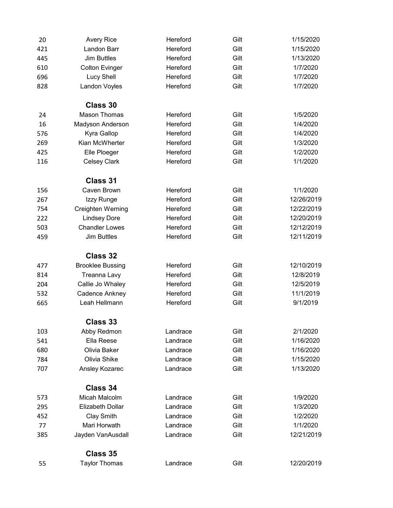| 20  | <b>Avery Rice</b>       | Hereford | Gilt | 1/15/2020  |
|-----|-------------------------|----------|------|------------|
| 421 | Landon Barr             | Hereford | Gilt | 1/15/2020  |
| 445 | <b>Jim Buttles</b>      | Hereford | Gilt | 1/13/2020  |
| 610 | <b>Colton Evinger</b>   | Hereford | Gilt | 1/7/2020   |
| 696 | <b>Lucy Shell</b>       | Hereford | Gilt | 1/7/2020   |
| 828 | Landon Voyles           | Hereford | Gilt | 1/7/2020   |
|     | Class 30                |          |      |            |
| 24  | <b>Mason Thomas</b>     | Hereford | Gilt | 1/5/2020   |
| 16  | Madyson Anderson        | Hereford | Gilt | 1/4/2020   |
| 576 | Kyra Gallop             | Hereford | Gilt | 1/4/2020   |
| 269 | Kian McWherter          | Hereford | Gilt | 1/3/2020   |
| 425 | Elle Ploeger            | Hereford | Gilt | 1/2/2020   |
| 116 | <b>Celsey Clark</b>     | Hereford | Gilt | 1/1/2020   |
|     | <b>Class 31</b>         |          |      |            |
| 156 | Caven Brown             | Hereford | Gilt | 1/1/2020   |
| 267 | Izzy Runge              | Hereford | Gilt | 12/26/2019 |
| 754 | Creighten Werning       | Hereford | Gilt | 12/22/2019 |
| 222 | <b>Lindsey Dore</b>     | Hereford | Gilt | 12/20/2019 |
| 503 | <b>Chandler Lowes</b>   | Hereford | Gilt | 12/12/2019 |
| 459 | <b>Jim Buttles</b>      | Hereford | Gilt | 12/11/2019 |
|     | Class 32                |          |      |            |
| 477 | <b>Brooklee Bussing</b> | Hereford | Gilt | 12/10/2019 |
| 814 | Treanna Lavy            | Hereford | Gilt | 12/8/2019  |
| 204 | Callie Jo Whaley        | Hereford | Gilt | 12/5/2019  |
| 532 | Cadence Ankney          | Hereford | Gilt | 11/1/2019  |
| 665 | Leah Hellmann           | Hereford | Gilt | 9/1/2019   |
|     | Class 33                |          |      |            |
| 103 | Abby Redmon             | Landrace | Gilt | 2/1/2020   |
| 541 | Ella Reese              | Landrace | Gilt | 1/16/2020  |
| 680 | Olivia Baker            | Landrace | Gilt | 1/16/2020  |
| 784 | Olivia Shike            | Landrace | Gilt | 1/15/2020  |
| 707 | Ansley Kozarec          | Landrace | Gilt | 1/13/2020  |
|     | Class 34                |          |      |            |
| 573 | Micah Malcolm           | Landrace | Gilt | 1/9/2020   |
| 295 | <b>Elizabeth Dollar</b> | Landrace | Gilt | 1/3/2020   |
| 452 | Clay Smith              | Landrace | Gilt | 1/2/2020   |
| 77  | Mari Horwath            | Landrace | Gilt | 1/1/2020   |
| 385 | Jayden VanAusdall       | Landrace | Gilt | 12/21/2019 |
|     | Class 35                |          |      |            |
| 55  | <b>Taylor Thomas</b>    | Landrace | Gilt | 12/20/2019 |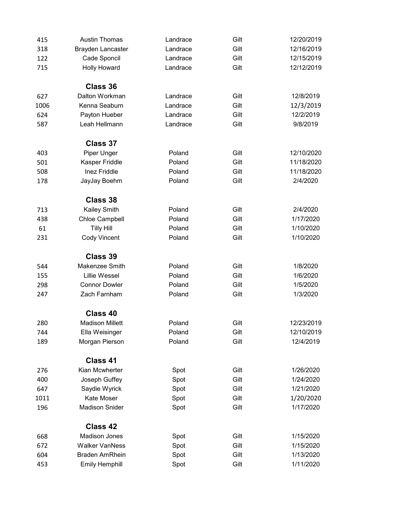| 415  | <b>Austin Thomas</b>     | Landrace | Gilt | 12/20/2019 |
|------|--------------------------|----------|------|------------|
| 318  | <b>Brayden Lancaster</b> | Landrace | Gilt | 12/16/2019 |
| 122  | Cade Sponcil             | Landrace | Gilt | 12/15/2019 |
| 715  | <b>Holly Howard</b>      | Landrace | Gilt | 12/12/2019 |
|      | Class 36                 |          |      |            |
| 627  | Dalton Workman           | Landrace | Gilt | 12/8/2019  |
| 1006 | Kenna Seaburn            | Landrace | Gilt | 12/3/2019  |
| 624  | Payton Hueber            | Landrace | Gilt | 12/2/2019  |
| 587  | Leah Hellmann            | Landrace | Gilt | 9/8/2019   |
|      | Class 37                 |          |      |            |
| 403  | Piper Unger              | Poland   | Gilt | 12/10/2020 |
| 501  | Kasper Friddle           | Poland   | Gilt | 11/18/2020 |
| 508  | Inez Friddle             | Poland   | Gilt | 11/18/2020 |
| 178  | JayJay Boehm             | Poland   | Gilt | 2/4/2020   |
|      | Class 38                 |          |      |            |
| 713  | Kailey Smith             | Poland   | Gilt | 2/4/2020   |
| 438  | Chloe Campbell           | Poland   | Gilt | 1/17/2020  |
| 61   | <b>Tilly Hill</b>        | Poland   | Gilt | 1/10/2020  |
| 231  | <b>Cody Vincent</b>      | Poland   | Gilt | 1/10/2020  |
|      | <b>Class 39</b>          |          |      |            |
| 544  | Makenzee Smith           | Poland   | Gilt | 1/8/2020   |
| 155  | <b>Lillie Wessel</b>     | Poland   | Gilt | 1/6/2020   |
| 298  | <b>Connor Dowler</b>     | Poland   | Gilt | 1/5/2020   |
| 247  | Zach Farnham             | Poland   | Gilt | 1/3/2020   |
|      | Class 40                 |          |      |            |
| 280  | <b>Madison Millett</b>   | Poland   | Gilt | 12/23/2019 |
| 744  | Ella Weisinger           | Poland   | Gilt | 12/10/2019 |
| 189  | Morgan Pierson           | Poland   | Gilt | 12/4/2019  |
|      | Class 41                 |          |      |            |
| 276  | Kian Mcwherter           | Spot     | Gilt | 1/26/2020  |
| 400  | Joseph Guffey            | Spot     | Gilt | 1/24/2020  |
| 647  | Saydie Wyrick            | Spot     | Gilt | 1/21/2020  |
| 1011 | Kate Moser               | Spot     | Gilt | 1/20/2020  |
| 196  | <b>Madison Snider</b>    | Spot     | Gilt | 1/17/2020  |
|      | Class 42                 |          |      |            |
| 668  | <b>Madison Jones</b>     | Spot     | Gilt | 1/15/2020  |
| 672  | <b>Walker VanNess</b>    | Spot     | Gilt | 1/15/2020  |
| 604  | <b>Braden AmRhein</b>    | Spot     | Gilt | 1/13/2020  |
| 453  | <b>Emily Hemphill</b>    | Spot     | Gilt | 1/11/2020  |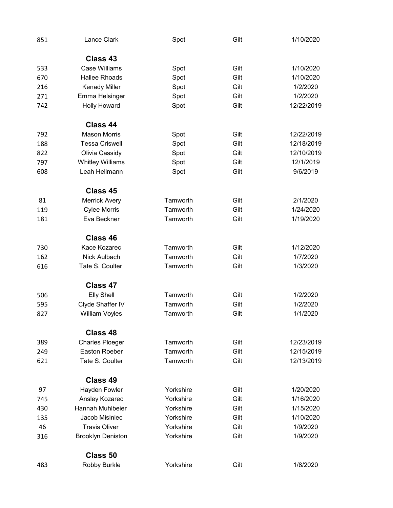| 851 | Lance Clark              | Spot      | Gilt | 1/10/2020  |
|-----|--------------------------|-----------|------|------------|
|     | Class 43                 |           |      |            |
| 533 | <b>Case Williams</b>     | Spot      | Gilt | 1/10/2020  |
| 670 | <b>Hallee Rhoads</b>     | Spot      | Gilt | 1/10/2020  |
| 216 | <b>Kenady Miller</b>     | Spot      | Gilt | 1/2/2020   |
| 271 | Emma Helsinger           | Spot      | Gilt | 1/2/2020   |
| 742 | <b>Holly Howard</b>      | Spot      | Gilt | 12/22/2019 |
|     | Class 44                 |           |      |            |
| 792 | <b>Mason Morris</b>      | Spot      | Gilt | 12/22/2019 |
| 188 | <b>Tessa Criswell</b>    | Spot      | Gilt | 12/18/2019 |
| 822 | Olivia Cassidy           | Spot      | Gilt | 12/10/2019 |
| 797 | <b>Whitley Williams</b>  | Spot      | Gilt | 12/1/2019  |
| 608 | Leah Hellmann            | Spot      | Gilt | 9/6/2019   |
|     | Class 45                 |           |      |            |
| 81  | <b>Merrick Avery</b>     | Tamworth  | Gilt | 2/1/2020   |
| 119 | <b>Cylee Morris</b>      | Tamworth  | Gilt | 1/24/2020  |
| 181 | Eva Beckner              | Tamworth  | Gilt | 1/19/2020  |
|     | Class 46                 |           |      |            |
| 730 | Kace Kozarec             | Tamworth  | Gilt | 1/12/2020  |
| 162 | Nick Aulbach             | Tamworth  | Gilt | 1/7/2020   |
| 616 | Tate S. Coulter          | Tamworth  | Gilt | 1/3/2020   |
|     | Class 47                 |           |      |            |
| 506 | <b>Elly Shell</b>        | Tamworth  | Gilt | 1/2/2020   |
| 595 | Clyde Shaffer IV         | Tamworth  | Gilt | 1/2/2020   |
| 827 | <b>William Voyles</b>    | Tamworth  | Gilt | 1/1/2020   |
|     | Class 48                 |           |      |            |
| 389 | <b>Charles Ploeger</b>   | Tamworth  | Gilt | 12/23/2019 |
| 249 | Easton Roeber            | Tamworth  | Gilt | 12/15/2019 |
| 621 | Tate S. Coulter          | Tamworth  | Gilt | 12/13/2019 |
|     | Class 49                 |           |      |            |
| 97  | Hayden Fowler            | Yorkshire | Gilt | 1/20/2020  |
| 745 | Ansley Kozarec           | Yorkshire | Gilt | 1/16/2020  |
| 430 | Hannah Muhlbeier         | Yorkshire | Gilt | 1/15/2020  |
| 135 | Jacob Misiniec           | Yorkshire | Gilt | 1/10/2020  |
| 46  | <b>Travis Oliver</b>     | Yorkshire | Gilt | 1/9/2020   |
| 316 | <b>Brooklyn Deniston</b> | Yorkshire | Gilt | 1/9/2020   |
|     | Class 50                 |           |      |            |
| 483 | Robby Burkle             | Yorkshire | Gilt | 1/8/2020   |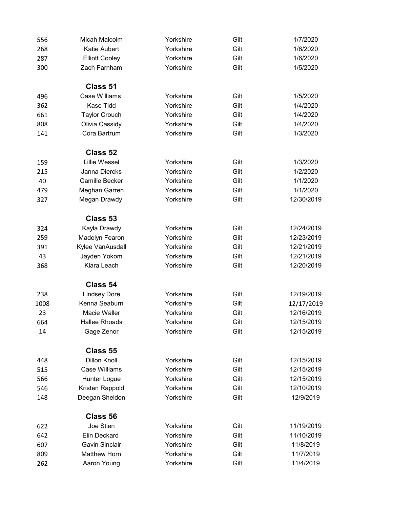| 556  | Micah Malcolm         | Yorkshire | Gilt | 1/7/2020   |
|------|-----------------------|-----------|------|------------|
| 268  | Katie Aubert          | Yorkshire | Gilt | 1/6/2020   |
| 287  | <b>Elliott Cooley</b> | Yorkshire | Gilt | 1/6/2020   |
| 300  | Zach Farnham          | Yorkshire | Gilt | 1/5/2020   |
|      | Class 51              |           |      |            |
| 496  | <b>Case Williams</b>  | Yorkshire | Gilt | 1/5/2020   |
| 362  | <b>Kase Tidd</b>      | Yorkshire | Gilt | 1/4/2020   |
| 661  | <b>Taylor Crouch</b>  | Yorkshire | Gilt | 1/4/2020   |
| 808  | Olivia Cassidy        | Yorkshire | Gilt | 1/4/2020   |
| 141  | Cora Bartrum          | Yorkshire | Gilt | 1/3/2020   |
|      | Class 52              |           |      |            |
| 159  | <b>Lillie Wessel</b>  | Yorkshire | Gilt | 1/3/2020   |
| 215  | Janna Diercks         | Yorkshire | Gilt | 1/2/2020   |
| 40   | <b>Camille Becker</b> | Yorkshire | Gilt | 1/1/2020   |
| 479  | Meghan Garren         | Yorkshire | Gilt | 1/1/2020   |
| 327  | Megan Drawdy          | Yorkshire | Gilt | 12/30/2019 |
|      | Class 53              |           |      |            |
| 324  | Kayla Drawdy          | Yorkshire | Gilt | 12/24/2019 |
| 259  | Madelyn Fearon        | Yorkshire | Gilt | 12/23/2019 |
| 391  | Kylee VanAusdall      | Yorkshire | Gilt | 12/21/2019 |
| 43   | Jayden Yokom          | Yorkshire | Gilt | 12/21/2019 |
| 368  | Klara Leach           | Yorkshire | Gilt | 12/20/2019 |
|      | Class 54              |           |      |            |
| 238  | <b>Lindsey Dore</b>   | Yorkshire | Gilt | 12/19/2019 |
| 1008 | Kenna Seaburn         | Yorkshire | Gilt | 12/17/2019 |
| 23   | Macie Waller          | Yorkshire | Gilt | 12/16/2019 |
| 664  | Hallee Rhoads         | Yorkshire | Gilt | 12/15/2019 |
| 14   | Gage Zenor            | Yorkshire | Gilt | 12/15/2019 |
|      | Class 55              |           |      |            |
| 448  | <b>Dillon Knoll</b>   | Yorkshire | Gilt | 12/15/2019 |
| 515  | <b>Case Williams</b>  | Yorkshire | Gilt | 12/15/2019 |
| 566  | Hunter Logue          | Yorkshire | Gilt | 12/15/2019 |
| 546  | Kristen Rappold       | Yorkshire | Gilt | 12/10/2019 |
| 148  | Deegan Sheldon        | Yorkshire | Gilt | 12/9/2019  |
|      | Class 56              |           |      |            |
| 622  | Joe Stien             | Yorkshire | Gilt | 11/19/2019 |
| 642  | Elin Deckard          | Yorkshire | Gilt | 11/10/2019 |
| 607  | <b>Gavin Sinclair</b> | Yorkshire | Gilt | 11/8/2019  |
| 809  | <b>Matthew Horn</b>   | Yorkshire | Gilt | 11/7/2019  |
| 262  | Aaron Young           | Yorkshire | Gilt | 11/4/2019  |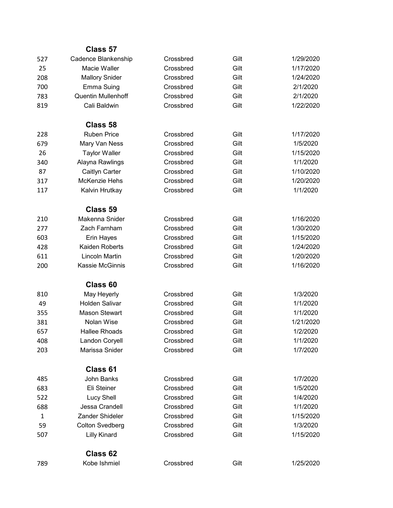|              | Class 57                  |           |      |           |
|--------------|---------------------------|-----------|------|-----------|
| 527          | Cadence Blankenship       | Crossbred | Gilt | 1/29/2020 |
| 25           | Macie Waller              | Crossbred | Gilt | 1/17/2020 |
| 208          | <b>Mallory Snider</b>     | Crossbred | Gilt | 1/24/2020 |
| 700          | Emma Suing                | Crossbred | Gilt | 2/1/2020  |
| 783          | <b>Quentin Mullenhoff</b> | Crossbred | Gilt | 2/1/2020  |
| 819          | Cali Baldwin              | Crossbred | Gilt | 1/22/2020 |
|              | Class 58                  |           |      |           |
| 228          | <b>Ruben Price</b>        | Crossbred | Gilt | 1/17/2020 |
| 679          | Mary Van Ness             | Crossbred | Gilt | 1/5/2020  |
| 26           | <b>Taylor Waller</b>      | Crossbred | Gilt | 1/15/2020 |
| 340          | Alayna Rawlings           | Crossbred | Gilt | 1/1/2020  |
| 87           | Caitlyn Carter            | Crossbred | Gilt | 1/10/2020 |
| 317          | <b>McKenzie Hehs</b>      | Crossbred | Gilt | 1/20/2020 |
| 117          | Kalvin Hrutkay            | Crossbred | Gilt | 1/1/2020  |
|              | Class 59                  |           |      |           |
| 210          | Makenna Snider            | Crossbred | Gilt | 1/16/2020 |
| 277          | Zach Farnham              | Crossbred | Gilt | 1/30/2020 |
| 603          | Erin Hayes                | Crossbred | Gilt | 1/15/2020 |
| 428          | Kaiden Roberts            | Crossbred | Gilt | 1/24/2020 |
| 611          | <b>Lincoln Martin</b>     | Crossbred | Gilt | 1/20/2020 |
| 200          | <b>Kassie McGinnis</b>    | Crossbred | Gilt | 1/16/2020 |
|              | Class 60                  |           |      |           |
| 810          | May Heyerly               | Crossbred | Gilt | 1/3/2020  |
| 49           | <b>Holden Salivar</b>     | Crossbred | Gilt | 1/1/2020  |
| 355          | <b>Mason Stewart</b>      | Crossbred | Gilt | 1/1/2020  |
| 381          | Nolan Wise                | Crossbred | Gilt | 1/21/2020 |
| 657          | <b>Hallee Rhoads</b>      | Crossbred | Gilt | 1/2/2020  |
| 408          | Landon Coryell            | Crossbred | Gilt | 1/1/2020  |
| 203          | Marissa Snider            | Crossbred | Gilt | 1/7/2020  |
|              | Class 61                  |           |      |           |
| 485          | <b>John Banks</b>         | Crossbred | Gilt | 1/7/2020  |
| 683          | Eli Steiner               | Crossbred | Gilt | 1/5/2020  |
| 522          | <b>Lucy Shell</b>         | Crossbred | Gilt | 1/4/2020  |
| 688          | Jessa Crandell            | Crossbred | Gilt | 1/1/2020  |
| $\mathbf{1}$ | Zander Shideler           | Crossbred | Gilt | 1/15/2020 |
| 59           | <b>Colton Svedberg</b>    | Crossbred | Gilt | 1/3/2020  |
| 507          | <b>Lilly Kinard</b>       | Crossbred | Gilt | 1/15/2020 |
|              | Class 62                  |           |      |           |
| 789          | Kobe Ishmiel              | Crossbred | Gilt | 1/25/2020 |
|              |                           |           |      |           |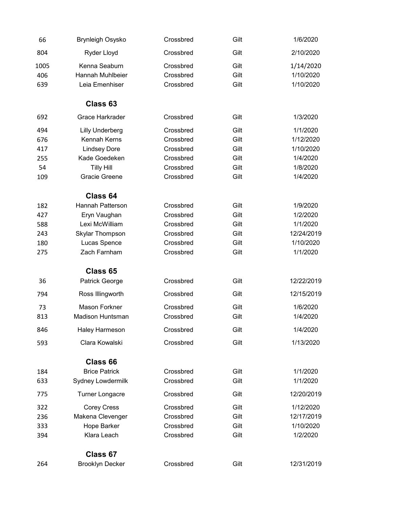| 66   | <b>Brynleigh Osysko</b> | Crossbred | Gilt | 1/6/2020   |
|------|-------------------------|-----------|------|------------|
| 804  | Ryder Lloyd             | Crossbred | Gilt | 2/10/2020  |
| 1005 | Kenna Seaburn           | Crossbred | Gilt | 1/14/2020  |
| 406  | Hannah Muhlbeier        | Crossbred | Gilt | 1/10/2020  |
| 639  | Leia Emenhiser          | Crossbred | Gilt | 1/10/2020  |
|      | Class 63                |           |      |            |
| 692  | <b>Grace Harkrader</b>  | Crossbred | Gilt | 1/3/2020   |
| 494  | <b>Lilly Underberg</b>  | Crossbred | Gilt | 1/1/2020   |
| 676  | Kennah Kerns            | Crossbred | Gilt | 1/12/2020  |
| 417  | <b>Lindsey Dore</b>     | Crossbred | Gilt | 1/10/2020  |
| 255  | Kade Goedeken           | Crossbred | Gilt | 1/4/2020   |
| 54   | <b>Tilly Hill</b>       | Crossbred | Gilt | 1/8/2020   |
| 109  | <b>Gracie Greene</b>    | Crossbred | Gilt | 1/4/2020   |
|      | Class 64                |           |      |            |
| 182  | <b>Hannah Patterson</b> | Crossbred | Gilt | 1/9/2020   |
| 427  | Eryn Vaughan            | Crossbred | Gilt | 1/2/2020   |
| 588  | Lexi McWilliam          | Crossbred | Gilt | 1/1/2020   |
| 243  | Skylar Thompson         | Crossbred | Gilt | 12/24/2019 |
| 180  | Lucas Spence            | Crossbred | Gilt | 1/10/2020  |
| 275  | Zach Farnham            | Crossbred | Gilt | 1/1/2020   |
|      | Class 65                |           |      |            |
| 36   | Patrick George          | Crossbred | Gilt | 12/22/2019 |
| 794  | Ross Illingworth        | Crossbred | Gilt | 12/15/2019 |
| 73   | <b>Mason Forkner</b>    | Crossbred | Gilt | 1/6/2020   |
| 813  | <b>Madison Huntsman</b> | Crossbred | Gilt | 1/4/2020   |
| 846  | Haley Harmeson          | Crossbred | Gilt | 1/4/2020   |
| 593  | Clara Kowalski          | Crossbred | Gilt | 1/13/2020  |
|      | Class 66                |           |      |            |
| 184  | <b>Brice Patrick</b>    | Crossbred | Gilt | 1/1/2020   |
| 633  | Sydney Lowdermilk       | Crossbred | Gilt | 1/1/2020   |
| 775  | <b>Turner Longacre</b>  | Crossbred | Gilt | 12/20/2019 |
| 322  | <b>Corey Cress</b>      | Crossbred | Gilt | 1/12/2020  |
| 236  | Makena Clevenger        | Crossbred | Gilt | 12/17/2019 |
| 333  | Hope Barker             | Crossbred | Gilt | 1/10/2020  |
| 394  | Klara Leach             | Crossbred | Gilt | 1/2/2020   |
|      | Class 67                |           |      |            |
| 264  | <b>Brooklyn Decker</b>  | Crossbred | Gilt | 12/31/2019 |
|      |                         |           |      |            |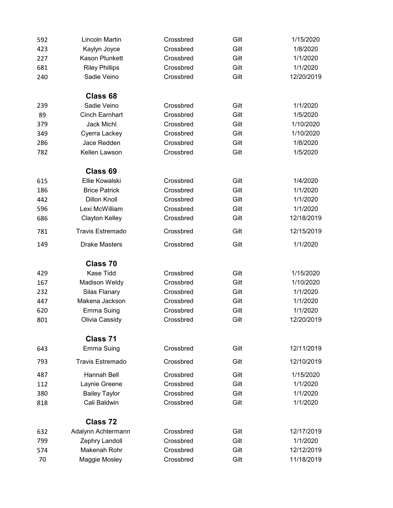| 592 | Lincoln Martin          | Crossbred | Gilt | 1/15/2020  |
|-----|-------------------------|-----------|------|------------|
| 423 | Kaylyn Joyce            | Crossbred | Gilt | 1/8/2020   |
| 227 | <b>Kason Plunkett</b>   | Crossbred | Gilt | 1/1/2020   |
| 681 | <b>Riley Phillips</b>   | Crossbred | Gilt | 1/1/2020   |
| 240 | Sadie Veino             | Crossbred | Gilt | 12/20/2019 |
|     | Class 68                |           |      |            |
| 239 | Sadie Veino             | Crossbred | Gilt | 1/1/2020   |
| 89  | <b>Cinch Earnhart</b>   | Crossbred | Gilt | 1/5/2020   |
| 379 | <b>Jack Michl</b>       | Crossbred | Gilt | 1/10/2020  |
| 349 | Cyerra Lackey           | Crossbred | Gilt | 1/10/2020  |
| 286 | Jace Redden             | Crossbred | Gilt | 1/8/2020   |
| 782 | Kellen Lawson           | Crossbred | Gilt | 1/5/2020   |
|     | Class 69                |           |      |            |
| 615 | <b>Ellie Kowalski</b>   | Crossbred | Gilt | 1/4/2020   |
| 186 | <b>Brice Patrick</b>    | Crossbred | Gilt | 1/1/2020   |
| 442 | <b>Dillon Knoll</b>     | Crossbred | Gilt | 1/1/2020   |
| 596 | Lexi McWilliam          | Crossbred | Gilt | 1/1/2020   |
| 686 | <b>Clayton Kelley</b>   | Crossbred | Gilt | 12/18/2019 |
| 781 | <b>Travis Estremado</b> | Crossbred | Gilt | 12/15/2019 |
| 149 | <b>Drake Masters</b>    | Crossbred | Gilt | 1/1/2020   |
|     | Class 70                |           |      |            |
| 429 | Kase Tidd               | Crossbred | Gilt | 1/15/2020  |
| 167 | <b>Madison Weldy</b>    | Crossbred | Gilt | 1/10/2020  |
| 232 | Silas Flanary           | Crossbred | Gilt | 1/1/2020   |
| 447 | Makena Jackson          | Crossbred | Gilt | 1/1/2020   |
| 620 | Emma Suing              | Crossbred | Gilt | 1/1/2020   |
| 801 | Olivia Cassidy          | Crossbred | Gilt | 12/20/2019 |
|     | Class 71                |           |      |            |
| 643 | Emma Suing              | Crossbred | Gilt | 12/11/2019 |
| 793 | <b>Travis Estremado</b> | Crossbred | Gilt | 12/10/2019 |
| 487 | Hannah Bell             | Crossbred | Gilt | 1/15/2020  |
| 112 | Laynie Greene           | Crossbred | Gilt | 1/1/2020   |
| 380 | <b>Bailey Taylor</b>    | Crossbred | Gilt | 1/1/2020   |
| 818 | Cali Baldwin            | Crossbred | Gilt | 1/1/2020   |
|     | Class 72                |           |      |            |
| 632 | Adalynn Achtermann      | Crossbred | Gilt | 12/17/2019 |
| 799 | Zephry Landoll          | Crossbred | Gilt | 1/1/2020   |
| 574 | Makenah Rohr            | Crossbred | Gilt | 12/12/2019 |
| 70  | Maggie Mosley           | Crossbred | Gilt | 11/18/2019 |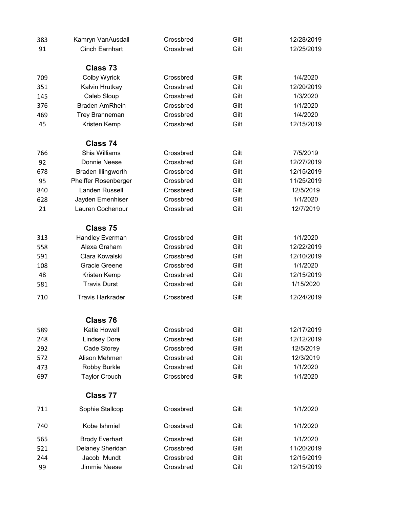| 383 | Kamryn VanAusdall           | Crossbred | Gilt | 12/28/2019 |
|-----|-----------------------------|-----------|------|------------|
| 91  | <b>Cinch Earnhart</b>       | Crossbred | Gilt | 12/25/2019 |
|     |                             |           |      |            |
|     | Class 73                    |           |      |            |
| 709 | Colby Wyrick                | Crossbred | Gilt | 1/4/2020   |
| 351 | Kalvin Hrutkay              | Crossbred | Gilt | 12/20/2019 |
| 145 | Caleb Sloup                 | Crossbred | Gilt | 1/3/2020   |
| 376 | <b>Braden AmRhein</b>       | Crossbred | Gilt | 1/1/2020   |
| 469 | Trey Branneman              | Crossbred | Gilt | 1/4/2020   |
| 45  | Kristen Kemp                | Crossbred | Gilt | 12/15/2019 |
|     | Class 74                    |           |      |            |
| 766 | Shia Williams               | Crossbred | Gilt | 7/5/2019   |
| 92  | Donnie Neese                | Crossbred | Gilt | 12/27/2019 |
| 678 | Braden Illingworth          | Crossbred | Gilt | 12/15/2019 |
| 95  | <b>Pheiffer Rosenberger</b> | Crossbred | Gilt | 11/25/2019 |
| 840 | <b>Landen Russell</b>       | Crossbred | Gilt | 12/5/2019  |
| 628 | Jayden Emenhiser            | Crossbred | Gilt | 1/1/2020   |
| 21  | Lauren Cochenour            | Crossbred | Gilt | 12/7/2019  |
|     |                             |           |      |            |
|     | Class 75                    |           |      |            |
| 313 | <b>Handley Everman</b>      | Crossbred | Gilt | 1/1/2020   |
| 558 | Alexa Graham                | Crossbred | Gilt | 12/22/2019 |
| 591 | Clara Kowalski              | Crossbred | Gilt | 12/10/2019 |
| 108 | Gracie Greene               | Crossbred | Gilt | 1/1/2020   |
| 48  | Kristen Kemp                | Crossbred | Gilt | 12/15/2019 |
| 581 | <b>Travis Durst</b>         | Crossbred | Gilt | 1/15/2020  |
| 710 | <b>Travis Harkrader</b>     | Crossbred | Gilt | 12/24/2019 |
|     | Class 76                    |           |      |            |
| 589 | Katie Howell                | Crossbred | Gilt | 12/17/2019 |
| 248 | <b>Lindsey Dore</b>         | Crossbred | Gilt | 12/12/2019 |
| 292 | Cade Storey                 | Crossbred | Gilt | 12/5/2019  |
| 572 | Alison Mehmen               | Crossbred | Gilt | 12/3/2019  |
| 473 | Robby Burkle                | Crossbred | Gilt | 1/1/2020   |
| 697 | <b>Taylor Crouch</b>        | Crossbred | Gilt | 1/1/2020   |
|     |                             |           |      |            |
|     | Class 77                    |           |      |            |
| 711 | Sophie Stallcop             | Crossbred | Gilt | 1/1/2020   |
| 740 | Kobe Ishmiel                | Crossbred | Gilt | 1/1/2020   |
| 565 | <b>Brody Everhart</b>       | Crossbred | Gilt | 1/1/2020   |
| 521 | Delaney Sheridan            | Crossbred | Gilt | 11/20/2019 |
| 244 | Jacob Mundt                 | Crossbred | Gilt | 12/15/2019 |
| 99  | Jimmie Neese                | Crossbred | Gilt | 12/15/2019 |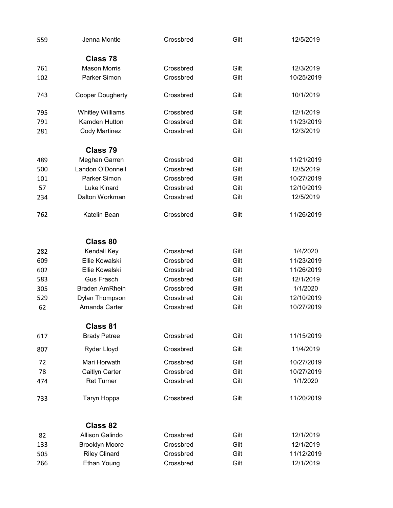| 559 | Jenna Montle            | Crossbred | Gilt | 12/5/2019  |
|-----|-------------------------|-----------|------|------------|
|     | Class 78                |           |      |            |
| 761 | <b>Mason Morris</b>     | Crossbred | Gilt | 12/3/2019  |
| 102 | Parker Simon            | Crossbred | Gilt | 10/25/2019 |
| 743 | <b>Cooper Dougherty</b> | Crossbred | Gilt | 10/1/2019  |
| 795 | <b>Whitley Williams</b> | Crossbred | Gilt | 12/1/2019  |
| 791 | Kamden Hutton           | Crossbred | Gilt | 11/23/2019 |
| 281 | <b>Cody Martinez</b>    | Crossbred | Gilt | 12/3/2019  |
|     | Class 79                |           |      |            |
| 489 | Meghan Garren           | Crossbred | Gilt | 11/21/2019 |
| 500 | Landon O'Donnell        | Crossbred | Gilt | 12/5/2019  |
| 101 | Parker Simon            | Crossbred | Gilt | 10/27/2019 |
| 57  | <b>Luke Kinard</b>      | Crossbred | Gilt | 12/10/2019 |
| 234 | Dalton Workman          | Crossbred | Gilt | 12/5/2019  |
| 762 | Katelin Bean            | Crossbred | Gilt | 11/26/2019 |
|     | Class 80                |           |      |            |
| 282 | Kendall Key             | Crossbred | Gilt | 1/4/2020   |
| 609 | Ellie Kowalski          | Crossbred | Gilt | 11/23/2019 |
| 602 | Ellie Kowalski          | Crossbred | Gilt | 11/26/2019 |
| 583 | <b>Gus Frasch</b>       | Crossbred | Gilt | 12/1/2019  |
| 305 | <b>Braden AmRhein</b>   | Crossbred | Gilt | 1/1/2020   |
| 529 | Dylan Thompson          | Crossbred | Gilt | 12/10/2019 |
| 62  | Amanda Carter           | Crossbred | Gilt | 10/27/2019 |
|     | <b>Class 81</b>         |           |      |            |
| 617 | <b>Brady Petree</b>     | Crossbred | Gilt | 11/15/2019 |
| 807 | Ryder Lloyd             | Crossbred | Gilt | 11/4/2019  |
| 72  | Mari Horwath            | Crossbred | Gilt | 10/27/2019 |
| 78  | Caitlyn Carter          | Crossbred | Gilt | 10/27/2019 |
| 474 | <b>Ret Turner</b>       | Crossbred | Gilt | 1/1/2020   |
| 733 | Taryn Hoppa             | Crossbred | Gilt | 11/20/2019 |
|     | Class 82                |           |      |            |
| 82  | Allison Galindo         | Crossbred | Gilt | 12/1/2019  |
| 133 | <b>Brooklyn Moore</b>   | Crossbred | Gilt | 12/1/2019  |
| 505 | <b>Riley Clinard</b>    | Crossbred | Gilt | 11/12/2019 |
| 266 | <b>Ethan Young</b>      | Crossbred | Gilt | 12/1/2019  |
|     |                         |           |      |            |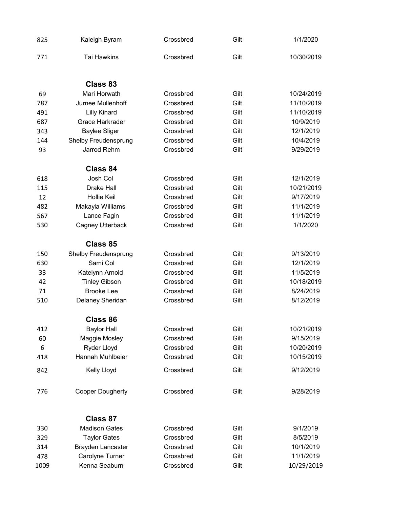| 825  | Kaleigh Byram               | Crossbred | Gilt | 1/1/2020   |
|------|-----------------------------|-----------|------|------------|
| 771  | Tai Hawkins                 | Crossbred | Gilt | 10/30/2019 |
|      | Class 83                    |           |      |            |
| 69   | Mari Horwath                | Crossbred | Gilt | 10/24/2019 |
| 787  | Jurnee Mullenhoff           | Crossbred | Gilt | 11/10/2019 |
| 491  | <b>Lilly Kinard</b>         | Crossbred | Gilt | 11/10/2019 |
| 687  | Grace Harkrader             | Crossbred | Gilt | 10/9/2019  |
| 343  | <b>Baylee Sliger</b>        | Crossbred | Gilt | 12/1/2019  |
| 144  | <b>Shelby Freudensprung</b> | Crossbred | Gilt | 10/4/2019  |
| 93   | Jarrod Rehm                 | Crossbred | Gilt | 9/29/2019  |
|      | Class 84                    |           |      |            |
| 618  | Josh Col                    | Crossbred | Gilt | 12/1/2019  |
| 115  | <b>Drake Hall</b>           | Crossbred | Gilt | 10/21/2019 |
| 12   | <b>Hollie Keil</b>          | Crossbred | Gilt | 9/17/2019  |
| 482  | Makayla Williams            | Crossbred | Gilt | 11/1/2019  |
| 567  | Lance Fagin                 | Crossbred | Gilt | 11/1/2019  |
| 530  | Cagney Utterback            | Crossbred | Gilt | 1/1/2020   |
|      | Class 85                    |           |      |            |
| 150  | <b>Shelby Freudensprung</b> | Crossbred | Gilt | 9/13/2019  |
| 630  | Sami Col                    | Crossbred | Gilt | 12/1/2019  |
| 33   | Katelynn Arnold             | Crossbred | Gilt | 11/5/2019  |
| 42   | <b>Tinley Gibson</b>        | Crossbred | Gilt | 10/18/2019 |
| 71   | <b>Brooke Lee</b>           | Crossbred | Gilt | 8/24/2019  |
| 510  | Delaney Sheridan            | Crossbred | Gilt | 8/12/2019  |
|      | Class 86                    |           |      |            |
| 412  | <b>Baylor Hall</b>          | Crossbred | Gilt | 10/21/2019 |
| 60   | Maggie Mosley               | Crossbred | Gilt | 9/15/2019  |
| 6    | Ryder Lloyd                 | Crossbred | Gilt | 10/20/2019 |
| 418  | Hannah Muhlbeier            | Crossbred | Gilt | 10/15/2019 |
| 842  | Kelly Lloyd                 | Crossbred | Gilt | 9/12/2019  |
| 776  | <b>Cooper Dougherty</b>     | Crossbred | Gilt | 9/28/2019  |
|      | Class 87                    |           |      |            |
| 330  | <b>Madison Gates</b>        | Crossbred | Gilt | 9/1/2019   |
| 329  | <b>Taylor Gates</b>         | Crossbred | Gilt | 8/5/2019   |
| 314  | Brayden Lancaster           | Crossbred | Gilt | 10/1/2019  |
| 478  | Carolyne Turner             | Crossbred | Gilt | 11/1/2019  |
| 1009 | Kenna Seaburn               | Crossbred | Gilt | 10/29/2019 |
|      |                             |           |      |            |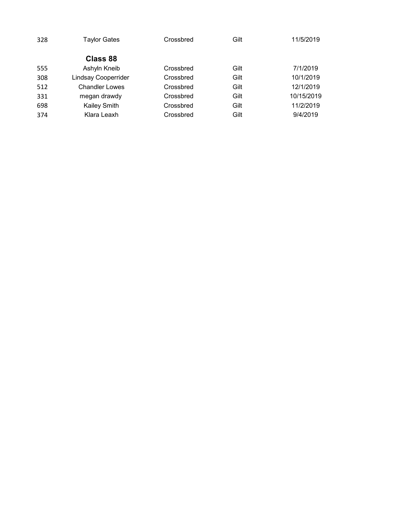| 328 | <b>Taylor Gates</b>        | Crossbred | Gilt | 11/5/2019  |
|-----|----------------------------|-----------|------|------------|
|     | Class 88                   |           |      |            |
| 555 | Ashyln Kneib               | Crossbred | Gilt | 7/1/2019   |
| 308 | <b>Lindsay Cooperrider</b> | Crossbred | Gilt | 10/1/2019  |
| 512 | <b>Chandler Lowes</b>      | Crossbred | Gilt | 12/1/2019  |
| 331 | megan drawdy               | Crossbred | Gilt | 10/15/2019 |
| 698 | <b>Kailey Smith</b>        | Crossbred | Gilt | 11/2/2019  |
| 374 | Klara Leaxh                | Crossbred | Gilt | 9/4/2019   |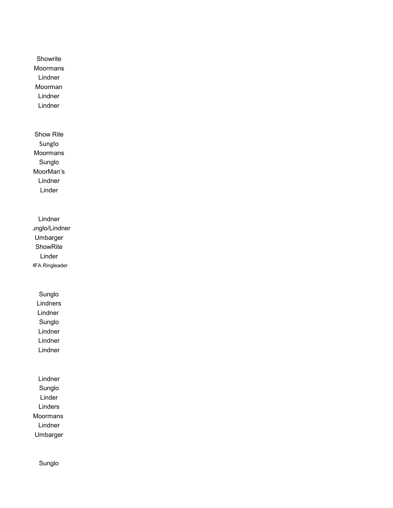**Showrite** Moormans Lindner Moorman Lindner Lindner

Show Rite Sunglo Moormans Sunglo MoorMan's Lindner Linder

Lindner Jnglo/Lindner Umbarger ShowRite Linder MFA Ringleader

> Sunglo Lindners Lindner Sunglo Lindner Lindner Lindner

Lindner Sunglo Linder Linders Moormans Lindner Umbarger

Sunglo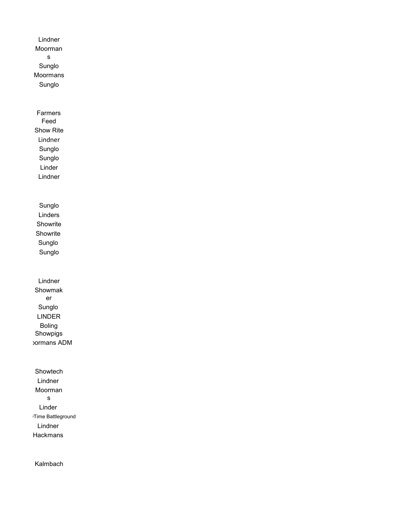Lindner Moorman s Sunglo Moormans Sunglo Farmers Feed Show Rite Lindner Sunglo Sunglo Linder Lindner Sunglo Linders **Showrite** Showrite Sunglo Sunglo Lindner Showmak er Sunglo LINDER Boling Showpigs Moormans ADM Showtech Lindner Moorman s Linder Time Battleground Lindner Hackmans

Kalmbach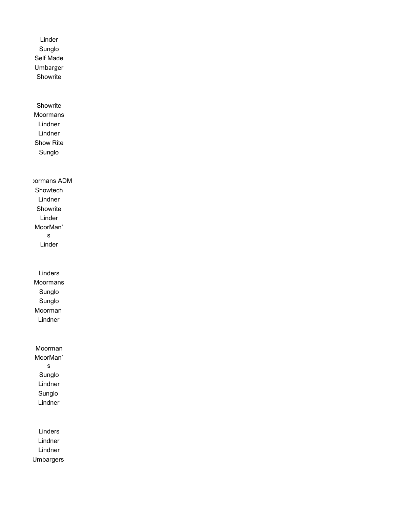Linder Sunglo Self Made Umbarger Showrite **Showrite** Moormans Lindner Lindner Show Rite Sunglo Moormans ADM Showtech Lindner Showrite Linder MoorMan' s Linder Linders Moormans Sunglo Sunglo Moorman Lindner Moorman MoorMan' s Sunglo Lindner Sunglo Lindner Linders Lindner Lindner Umbargers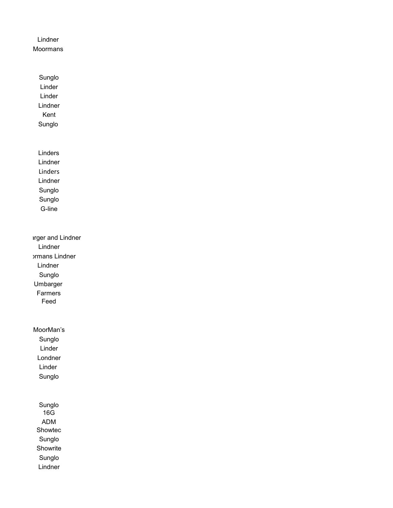## Lindner Moormans

Sunglo Linder Linder Lindner Kent Sunglo

Linders Lindner Linders Lindner Sunglo Sunglo G-line

arger and Lindner Lindner **ormans Lindner** Lindner Sunglo Umbarger Farmers Feed

MoorMan's Sunglo Linder Londner Linder Sunglo

> Sunglo 16G ADM Showtec Sunglo **Showrite** Sunglo Lindner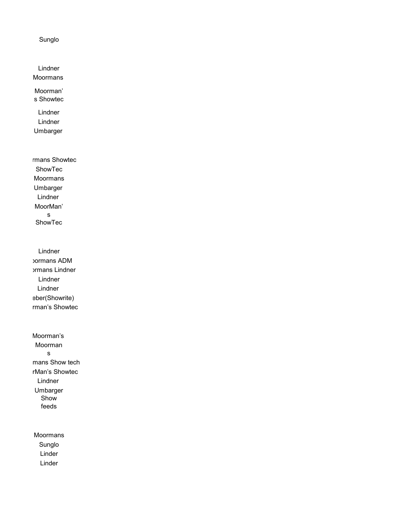Sunglo

Lindner Moormans

Moorman' s Showtec

Lindner Lindner Umbarger

mans Showtec ShowTec Moormans Umbarger Lindner MoorMan' s ShowTec

Lindner Moormans ADM **ormans Lindner** Lindner Lindner eber(Showrite) rman's Showtec

Moorman's Moorman s mans Show tech rMan's Showtec Lindner Umbarger Show feeds

Moormans Sunglo Linder Linder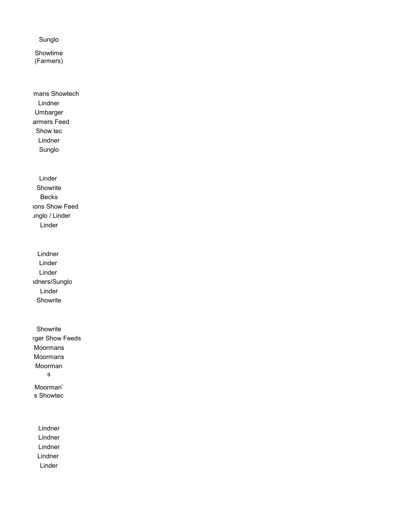Sunglo

Showtime (Farmers)

mans Showtech Lindner Umbarger armers Feed Show tec Lindner Sunglo

Linder Showrite Becks Ions Show Feed Jnglo / Linder Linder

Lindner Linder Linder **idners/Sunglo** Linder Showrite

Showrite rger Show Feeds Moormans Moormans Moorman s Moorman' s Showtec

Lindner Lindner Lindner Lindner Linder